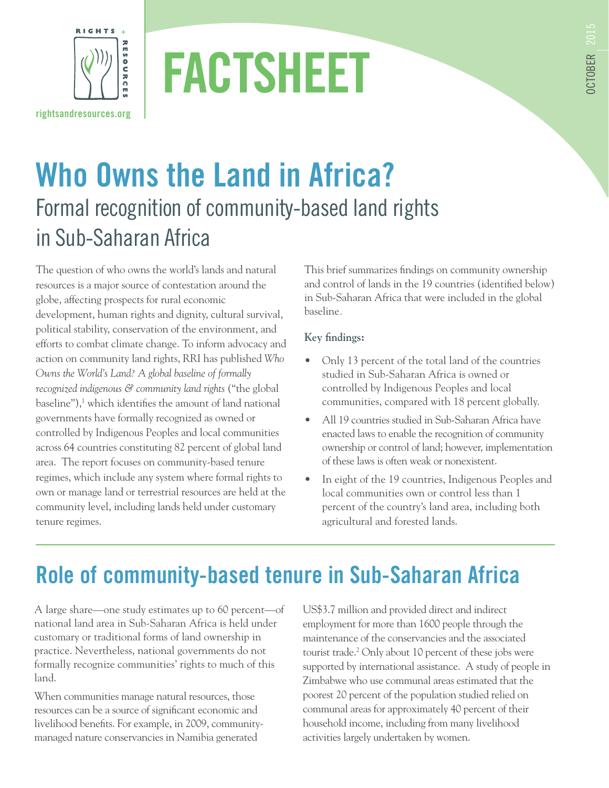

# **FACTSHEET**

# **Who Owns the Land in Africa?** Formal recognition of community-based land rights in Sub-Saharan Africa

The question of who owns the world's lands and natural resources is a major source of contestation around the globe, affecting prospects for rural economic development, human rights and dignity, cultural survival, political stability, conservation of the environment, and efforts to combat climate change. To inform advocacy and action on community land rights, RRI has published *Who Owns the World's Land? A global baseline of formally recognized indigenous & community land rights* ("the global baseline"),<sup>1</sup> which identifies the amount of land national governments have formally recognized as owned or controlled by Indigenous Peoples and local communities across 64 countries constituting 82 percent of global land area. The report focuses on community-based tenure regimes, which include any system where formal rights to own or manage land or terrestrial resources are held at the community level, including lands held under customary tenure regimes.

This brief summarizes findings on community ownership and control of lands in the 19 countries (identified below) in Sub-Saharan Africa that were included in the global baseline*.* 

#### **Key findings:**

- Only 13 percent of the total land of the countries studied in Sub-Saharan Africa is owned or controlled by Indigenous Peoples and local communities, compared with 18 percent globally.
- All 19 countries studied in Sub-Saharan Africa have enacted laws to enable the recognition of community ownership or control of land; however, implementation of these laws is often weak or nonexistent.
- In eight of the 19 countries, Indigenous Peoples and local communities own or control less than 1 percent of the country's land area, including both agricultural and forested lands.

## **Role of community-based tenure in Sub-Saharan Africa**

A large share—one study estimates up to 60 percent—of national land area in Sub-Saharan Africa is held under customary or traditional forms of land ownership in practice. Nevertheless, national governments do not formally recognize communities' rights to much of this land.

When communities manage natural resources, those resources can be a source of significant economic and livelihood benefits. For example, in 2009, communitymanaged nature conservancies in Namibia generated

US\$3.7 million and provided direct and indirect employment for more than 1600 people through the maintenance of the conservancies and the associated tourist trade.<sup>2</sup> Only about 10 percent of these jobs were supported by international assistance. A study of people in Zimbabwe who use communal areas estimated that the poorest 20 percent of the population studied relied on communal areas for approximately 40 percent of their household income, including from many livelihood activities largely undertaken by women.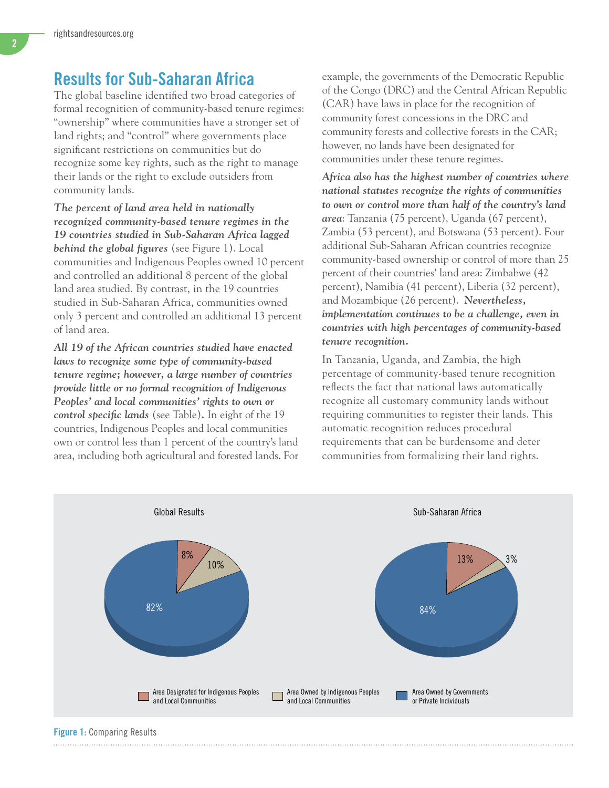### **Results for Sub-Saharan Africa**

The global baseline identified two broad categories of formal recognition of community-based tenure regimes: "ownership" where communities have a stronger set of land rights; and "control" where governments place significant restrictions on communities but do recognize some key rights, such as the right to manage their lands or the right to exclude outsiders from community lands.

*The percent of land area held in nationally recognized community-based tenure regimes in the 19 countries studied in Sub-Saharan Africa lagged behind the global figures* (see Figure 1). Local communities and Indigenous Peoples owned 10 percent and controlled an additional 8 percent of the global land area studied. By contrast, in the 19 countries studied in Sub-Saharan Africa, communities owned only 3 percent and controlled an additional 13 percent of land area.

*All 19 of the African countries studied have enacted laws to recognize some type of community-based tenure regime; however, a large number of countries provide little or no formal recognition of Indigenous Peoples' and local communities' rights to own or control specific lands* (see Table)*.* In eight of the 19 countries, Indigenous Peoples and local communities own or control less than 1 percent of the country's land area, including both agricultural and forested lands. For example, the governments of the Democratic Republic of the Congo (DRC) and the Central African Republic (CAR) have laws in place for the recognition of community forest concessions in the DRC and community forests and collective forests in the CAR; however, no lands have been designated for communities under these tenure regimes.

*Africa also has the highest number of countries where national statutes recognize the rights of communities to own or control more than half of the country's land area*: Tanzania (75 percent), Uganda (67 percent), Zambia (53 percent), and Botswana (53 percent). Four additional Sub-Saharan African countries recognize community-based ownership or control of more than 25 percent of their countries' land area: Zimbabwe (42 percent), Namibia (41 percent), Liberia (32 percent), and Mozambique (26 percent). *Nevertheless, implementation continues to be a challenge, even in countries with high percentages of community-based tenure recognition.*

In Tanzania, Uganda, and Zambia, the high percentage of community-based tenure recognition reflects the fact that national laws automatically recognize all customary community lands without requiring communities to register their lands. This automatic recognition reduces procedural requirements that can be burdensome and deter communities from formalizing their land rights.

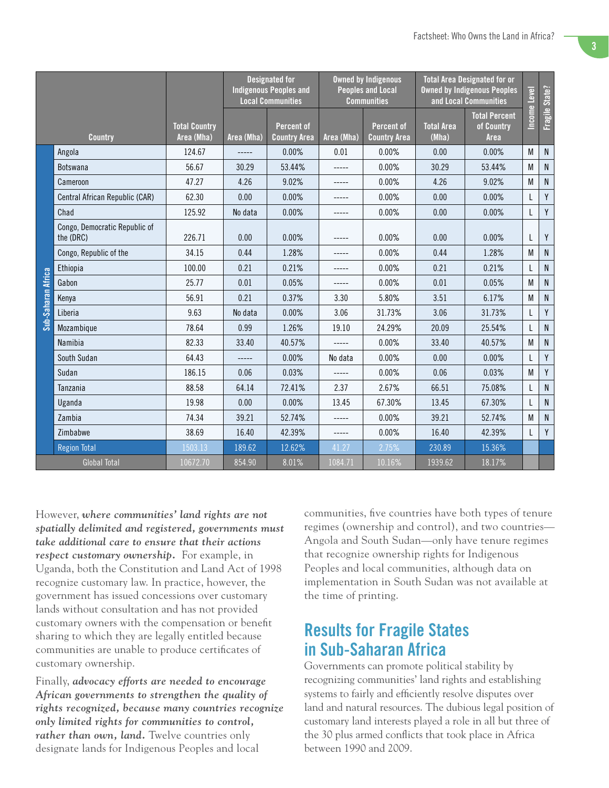|                     |                                            |                                    | <b>Designated for</b><br><b>Indigenous Peoples and</b><br><b>Local Communities</b> |                                          | <b>Owned by Indigenous</b><br><b>Peoples and Local</b><br><b>Communities</b> |                                          | <b>Total Area Designated for or</b><br><b>Owned by Indigenous Peoples</b><br>and Local Communities |                                            | Income Level | Fragile State? |
|---------------------|--------------------------------------------|------------------------------------|------------------------------------------------------------------------------------|------------------------------------------|------------------------------------------------------------------------------|------------------------------------------|----------------------------------------------------------------------------------------------------|--------------------------------------------|--------------|----------------|
| <b>Country</b>      |                                            | <b>Total Country</b><br>Area (Mha) | Area (Mha)                                                                         | <b>Percent of</b><br><b>Country Area</b> | Area (Mha)                                                                   | <b>Percent of</b><br><b>Country Area</b> | <b>Total Area</b><br>(Mha)                                                                         | <b>Total Percent</b><br>of Country<br>Area |              |                |
| Sub-Saharan Africa  | Angola                                     | 124.67                             | $-----$                                                                            | 0.00%                                    | 0.01                                                                         | 0.00%                                    | 0.00                                                                                               | 0.00%                                      | M            | $\mathsf{N}$   |
|                     | <b>Botswana</b>                            | 56.67                              | 30.29                                                                              | 53.44%                                   | -----                                                                        | 0.00%                                    | 30.29                                                                                              | 53.44%                                     | M            | N              |
|                     | Cameroon                                   | 47.27                              | 4.26                                                                               | 9.02%                                    | -----                                                                        | 0.00%                                    | 4.26                                                                                               | 9.02%                                      | M            | N              |
|                     | Central African Republic (CAR)             | 62.30                              | 0.00                                                                               | 0.00%                                    |                                                                              | 0.00%                                    | 0.00                                                                                               | 0.00%                                      | L            | Y              |
|                     | Chad                                       | 125.92                             | No data                                                                            | 0.00%                                    |                                                                              | 0.00%                                    | 0.00                                                                                               | 0.00%                                      | L            | Y              |
|                     | Congo, Democratic Republic of<br>the (DRC) | 226.71                             | 0.00                                                                               | 0.00%                                    |                                                                              | 0.00%                                    | 0.00                                                                                               | 0.00%                                      | L            | Y              |
|                     | Congo, Republic of the                     | 34.15                              | 0.44                                                                               | 1.28%                                    | -----                                                                        | 0.00%                                    | 0.44                                                                                               | 1.28%                                      | M            | N              |
|                     | Ethiopia                                   | 100.00                             | 0.21                                                                               | 0.21%                                    | -----                                                                        | 0.00%                                    | 0.21                                                                                               | 0.21%                                      | L            | N              |
|                     | Gabon                                      | 25.77                              | 0.01                                                                               | 0.05%                                    | -----                                                                        | 0.00%                                    | 0.01                                                                                               | 0.05%                                      | M            | $\mathsf{N}$   |
|                     | Kenva                                      | 56.91                              | 0.21                                                                               | 0.37%                                    | 3.30                                                                         | 5.80%                                    | 3.51                                                                                               | 6.17%                                      | M            | $\mathsf{N}$   |
|                     | Liberia                                    | 9.63                               | No data                                                                            | 0.00%                                    | 3.06                                                                         | 31.73%                                   | 3.06                                                                                               | 31.73%                                     |              | Y              |
|                     | Mozambique                                 | 78.64                              | 0.99                                                                               | 1.26%                                    | 19.10                                                                        | 24.29%                                   | 20.09                                                                                              | 25.54%                                     | L            | N              |
|                     | Namibia                                    | 82.33                              | 33.40                                                                              | 40.57%                                   | -----                                                                        | 0.00%                                    | 33.40                                                                                              | 40.57%                                     | M            | ${\sf N}$      |
|                     | South Sudan                                | 64.43                              |                                                                                    | 0.00%                                    | No data                                                                      | 0.00%                                    | 0.00                                                                                               | 0.00%                                      | L            | Y              |
|                     | Sudan                                      | 186.15                             | 0.06                                                                               | 0.03%                                    | -----                                                                        | 0.00%                                    | 0.06                                                                                               | 0.03%                                      | M            | Y              |
|                     | Tanzania                                   | 88.58                              | 64.14                                                                              | 72.41%                                   | 2.37                                                                         | 2.67%                                    | 66.51                                                                                              | 75.08%                                     | I            | N              |
|                     | Uganda                                     | 19.98                              | 0.00                                                                               | 0.00%                                    | 13.45                                                                        | 67.30%                                   | 13.45                                                                                              | 67.30%                                     | L            | N              |
|                     | Zambia                                     | 74.34                              | 39.21                                                                              | 52.74%                                   | -----                                                                        | 0.00%                                    | 39.21                                                                                              | 52.74%                                     | M            | N              |
|                     | Zimbabwe                                   | 38.69                              | 16.40                                                                              | 42.39%                                   |                                                                              | 0.00%                                    | 16.40                                                                                              | 42.39%                                     | L            | Y              |
|                     | <b>Region Total</b>                        | 1503.13                            | 189.62                                                                             | 12.62%                                   | 41.27                                                                        | 2.75%                                    | 230.89                                                                                             | 15.36%                                     |              |                |
| <b>Global Total</b> |                                            | 10672.70                           | 854.90                                                                             | 8.01%                                    | 1084.71                                                                      | 10.16%                                   | 1939.62                                                                                            | 18.17%                                     |              |                |

However, *where communities' land rights are not spatially delimited and registered, governments must take additional care to ensure that their actions respect customary ownership.* For example, in Uganda, both the Constitution and Land Act of 1998 recognize customary law. In practice, however, the government has issued concessions over customary lands without consultation and has not provided customary owners with the compensation or benefit sharing to which they are legally entitled because communities are unable to produce certificates of customary ownership.

Finally, *advocacy efforts are needed to encourage African governments to strengthen the quality of rights recognized, because many countries recognize only limited rights for communities to control, rather than own, land.* Twelve countries only designate lands for Indigenous Peoples and local

communities, five countries have both types of tenure regimes (ownership and control), and two countries— Angola and South Sudan—only have tenure regimes that recognize ownership rights for Indigenous Peoples and local communities, although data on implementation in South Sudan was not available at the time of printing.

## **Results for Fragile States in Sub-Saharan Africa**

Governments can promote political stability by recognizing communities' land rights and establishing systems to fairly and efficiently resolve disputes over land and natural resources. The dubious legal position of customary land interests played a role in all but three of the 30 plus armed conflicts that took place in Africa between 1990 and 2009.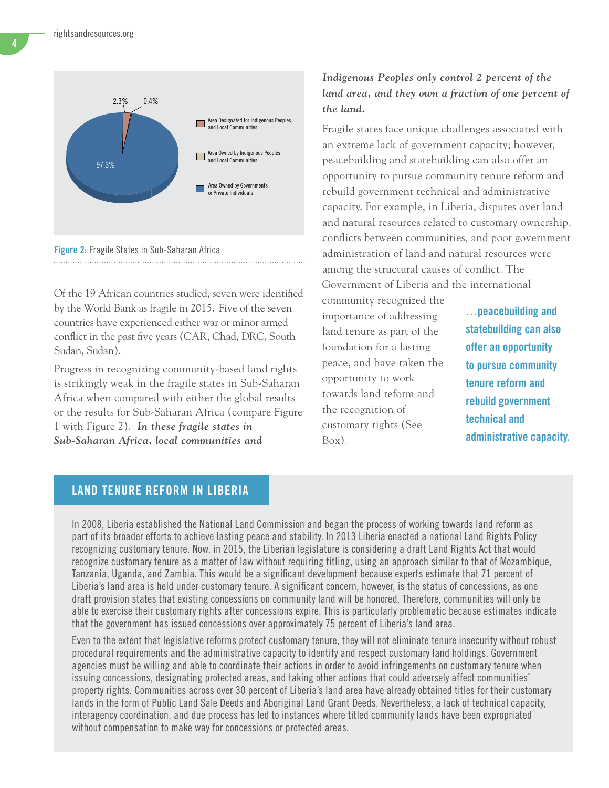

**Figure 2:** Fragile States in Sub-Saharan Africa

Of the 19 African countries studied, seven were identified by the World Bank as fragile in 2015. Five of the seven countries have experienced either war or minor armed conflict in the past five years (CAR, Chad, DRC, South Sudan, Sudan).

Progress in recognizing community-based land rights is strikingly weak in the fragile states in Sub-Saharan Africa when compared with either the global results or the results for Sub-Saharan Africa (compare Figure 1 with Figure 2). *In these fragile states in Sub-Saharan Africa, local communities and* 

#### *Indigenous Peoples only control 2 percent of the*  land area, and they own a fraction of one percent of *the land.*

Fragile states face unique challenges associated with an extreme lack of government capacity; however, peacebuilding and statebuilding can also offer an opportunity to pursue community tenure reform and rebuild government technical and administrative capacity. For example, in Liberia, disputes over land and natural resources related to customary ownership, conflicts between communities, and poor government administration of land and natural resources were among the structural causes of conflict. The Government of Liberia and the international

community recognized the importance of addressing land tenure as part of the foundation for a lasting peace, and have taken the opportunity to work towards land reform and the recognition of customary rights (See Box).

**…peacebuilding and statebuilding can also offer an opportunity to pursue community tenure reform and rebuild government technical and administrative capacity.**

#### **LAND TENURE REFORM IN LIBERIA**

In 2008, Liberia established the National Land Commission and began the process of working towards land reform as part of its broader efforts to achieve lasting peace and stability. In 2013 Liberia enacted a national Land Rights Policy recognizing customary tenure. Now, in 2015, the Liberian legislature is considering a draft Land Rights Act that would recognize customary tenure as a matter of law without requiring titling, using an approach similar to that of Mozambique, Tanzania, Uganda, and Zambia. This would be a significant development because experts estimate that 71 percent of Liberia's land area is held under customary tenure. A significant concern, however, is the status of concessions, as one draft provision states that existing concessions on community land will be honored. Therefore, communities will only be able to exercise their customary rights after concessions expire. This is particularly problematic because estimates indicate that the government has issued concessions over approximately 75 percent of Liberia's land area.

Even to the extent that legislative reforms protect customary tenure, they will not eliminate tenure insecurity without robust procedural requirements and the administrative capacity to identify and respect customary land holdings. Government agencies must be willing and able to coordinate their actions in order to avoid infringements on customary tenure when issuing concessions, designating protected areas, and taking other actions that could adversely affect communities' property rights. Communities across over 30 percent of Liberia's land area have already obtained titles for their customary lands in the form of Public Land Sale Deeds and Aboriginal Land Grant Deeds. Nevertheless, a lack of technical capacity, interagency coordination, and due process has led to instances where titled community lands have been expropriated without compensation to make way for concessions or protected areas.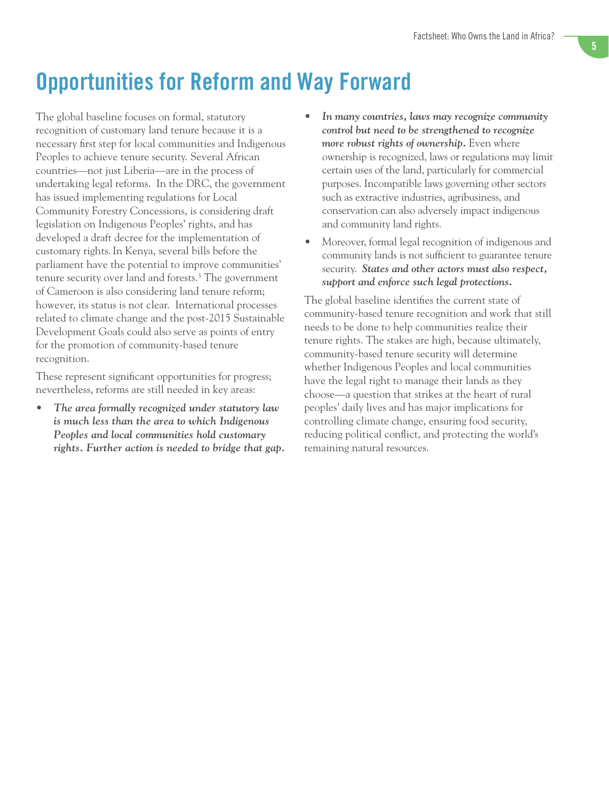## **Opportunities for Reform and Way Forward**

The global baseline focuses on formal, statutory recognition of customary land tenure because it is a necessary first step for local communities and Indigenous Peoples to achieve tenure security. Several African countries—not just Liberia—are in the process of undertaking legal reforms. In the DRC, the government has issued implementing regulations for Local Community Forestry Concessions, is considering draft legislation on Indigenous Peoples' rights, and has developed a draft decree for the implementation of customary rights.In Kenya, several bills before the parliament have the potential to improve communities' tenure security over land and forests.<sup>3</sup> The government of Cameroon is also considering land tenure reform; however, its status is not clear. International processes related to climate change and the post-2015 Sustainable Development Goals could also serve as points of entry for the promotion of community-based tenure recognition.

These represent significant opportunities for progress; nevertheless, reforms are still needed in key areas:

*• The area formally recognized under statutory law is much less than the area to which Indigenous Peoples and local communities hold customary rights. Further action is needed to bridge that gap.*

- *• In many countries, laws may recognize community control but need to be strengthened to recognize more robust rights of ownership.* Even where ownership is recognized, laws or regulations may limit certain uses of the land, particularly for commercial purposes. Incompatible laws governing other sectors such as extractive industries, agribusiness, and conservation can also adversely impact indigenous and community land rights.
- Moreover, formal legal recognition of indigenous and community lands is not sufficient to guarantee tenure security. *States and other actors must also respect, support and enforce such legal protections.*

The global baseline identifies the current state of community-based tenure recognition and work that still needs to be done to help communities realize their tenure rights. The stakes are high, because ultimately, community-based tenure security will determine whether Indigenous Peoples and local communities have the legal right to manage their lands as they choose—a question that strikes at the heart of rural peoples' daily lives and has major implications for controlling climate change, ensuring food security, reducing political conflict, and protecting the world's remaining natural resources.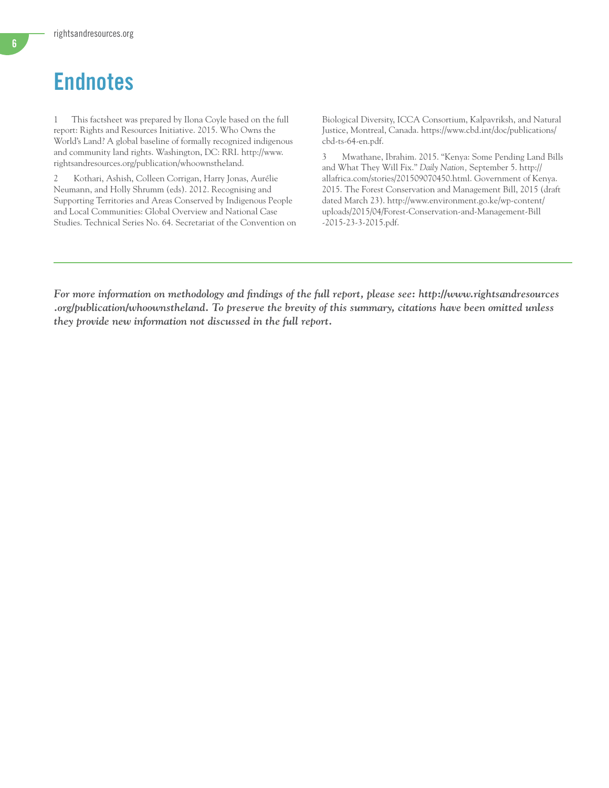## **Endnotes**

1 This factsheet was prepared by Ilona Coyle based on the full report: Rights and Resources Initiative. 2015. Who Owns the World's Land? A global baseline of formally recognized indigenous and community land rights. Washington, DC: RRI. http://www. rightsandresources.org/publication/whoownstheland.

2 Kothari, Ashish, Colleen Corrigan, Harry Jonas, Aurélie Neumann, and Holly Shrumm (eds). 2012. Recognising and Supporting Territories and Areas Conserved by Indigenous People and Local Communities: Global Overview and National Case Studies. Technical Series No. 64. Secretariat of the Convention on

Biological Diversity, ICCA Consortium, Kalpavriksh, and Natural Justice, Montreal, Canada. [https://www.cbd.int/doc/publications/](https://www.cbd.int/doc/publications/cbd-ts-64-en.pdf) [cbd-ts-64-en.pdf.](https://www.cbd.int/doc/publications/cbd-ts-64-en.pdf)

3 Mwathane, Ibrahim. 2015. "Kenya: Some Pending Land Bills and What They Will Fix." *Daily Nation,* September 5. [http://](http://allafrica.com/stories/201509070450.html) [allafrica.com/stories/201509070450.html](http://allafrica.com/stories/201509070450.html). Government of Kenya. 2015. The Forest Conservation and Management Bill, 2015 (draft dated March 23). [http://www.environment.go.ke/wp-content/](http://www.environment.go.ke/wp-content/uploads/2015/04/Forest-Conservation-and-Management-Bill-2015-23-3-2015.pdf) [uploads/2015/04/Forest-Conservation-and-Management-Bill](http://www.environment.go.ke/wp-content/uploads/2015/04/Forest-Conservation-and-Management-Bill-2015-23-3-2015.pdf) [-2015-23-3-2015.pdf](http://www.environment.go.ke/wp-content/uploads/2015/04/Forest-Conservation-and-Management-Bill-2015-23-3-2015.pdf).

*For more information on methodology and findings of the full report, please see: http://www.rightsandresources .org/publication/whoownstheland. To preserve the brevity of this summary, citations have been omitted unless they provide new information not discussed in the full report.*